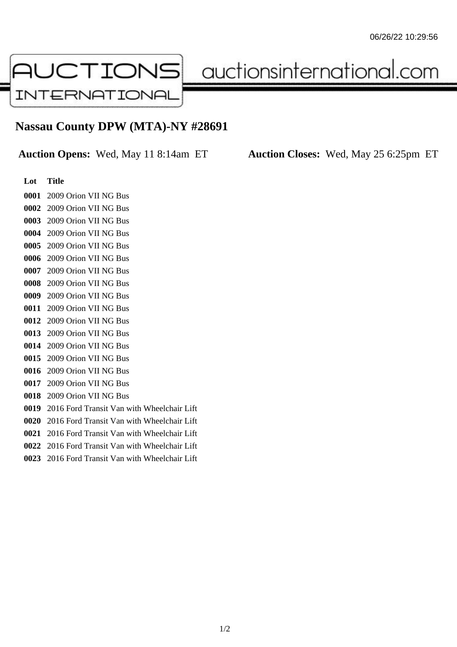

auctionsinternational.com

## **Nassau County DPW (MTA)-NY #28691**

**Auction Opens:** Wed, May 11 8:14am ET **Auction Closes:** Wed, May 25 6:25pm ET

## **Lot Title** 2009 Orion VII NG Bus 2009 Orion VII NG Bus 2009 Orion VII NG Bus 2009 Orion VII NG Bus 2009 Orion VII NG Bus 2009 Orion VII NG Bus 2009 Orion VII NG Bus 2009 Orion VII NG Bus 2009 Orion VII NG Bus 2009 Orion VII NG Bus 2009 Orion VII NG Bus 2009 Orion VII NG Bus 2009 Orion VII NG Bus 2009 Orion VII NG Bus 2009 Orion VII NG Bus 2009 Orion VII NG Bus 2009 Orion VII NG Bus 2016 Ford Transit Van with Wheelchair Lift 2016 Ford Transit Van with Wheelchair Lift 2016 Ford Transit Van with Wheelchair Lift 2016 Ford Transit Van with Wheelchair Lift 2016 Ford Transit Van with Wheelchair Lift